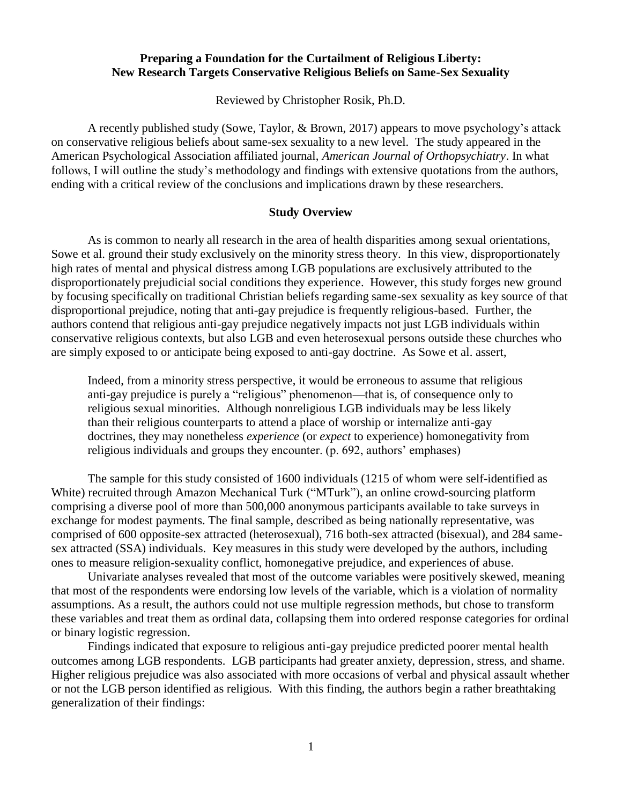## **Preparing a Foundation for the Curtailment of Religious Liberty: New Research Targets Conservative Religious Beliefs on Same-Sex Sexuality**

Reviewed by Christopher Rosik, Ph.D.

A recently published study (Sowe, Taylor, & Brown, 2017) appears to move psychology's attack on conservative religious beliefs about same-sex sexuality to a new level. The study appeared in the American Psychological Association affiliated journal, *American Journal of Orthopsychiatry*. In what follows, I will outline the study's methodology and findings with extensive quotations from the authors, ending with a critical review of the conclusions and implications drawn by these researchers.

## **Study Overview**

As is common to nearly all research in the area of health disparities among sexual orientations, Sowe et al. ground their study exclusively on the minority stress theory. In this view, disproportionately high rates of mental and physical distress among LGB populations are exclusively attributed to the disproportionately prejudicial social conditions they experience. However, this study forges new ground by focusing specifically on traditional Christian beliefs regarding same-sex sexuality as key source of that disproportional prejudice, noting that anti-gay prejudice is frequently religious-based. Further, the authors contend that religious anti-gay prejudice negatively impacts not just LGB individuals within conservative religious contexts, but also LGB and even heterosexual persons outside these churches who are simply exposed to or anticipate being exposed to anti-gay doctrine. As Sowe et al. assert,

Indeed, from a minority stress perspective, it would be erroneous to assume that religious anti-gay prejudice is purely a "religious" phenomenon—that is, of consequence only to religious sexual minorities. Although nonreligious LGB individuals may be less likely than their religious counterparts to attend a place of worship or internalize anti-gay doctrines, they may nonetheless *experience* (or *expect* to experience) homonegativity from religious individuals and groups they encounter. (p. 692, authors' emphases)

The sample for this study consisted of 1600 individuals (1215 of whom were self-identified as White) recruited through Amazon Mechanical Turk ("MTurk"), an online crowd-sourcing platform comprising a diverse pool of more than 500,000 anonymous participants available to take surveys in exchange for modest payments. The final sample, described as being nationally representative, was comprised of 600 opposite-sex attracted (heterosexual), 716 both-sex attracted (bisexual), and 284 samesex attracted (SSA) individuals. Key measures in this study were developed by the authors, including ones to measure religion-sexuality conflict, homonegative prejudice, and experiences of abuse.

Univariate analyses revealed that most of the outcome variables were positively skewed, meaning that most of the respondents were endorsing low levels of the variable, which is a violation of normality assumptions. As a result, the authors could not use multiple regression methods, but chose to transform these variables and treat them as ordinal data, collapsing them into ordered response categories for ordinal or binary logistic regression.

Findings indicated that exposure to religious anti-gay prejudice predicted poorer mental health outcomes among LGB respondents. LGB participants had greater anxiety, depression, stress, and shame. Higher religious prejudice was also associated with more occasions of verbal and physical assault whether or not the LGB person identified as religious. With this finding, the authors begin a rather breathtaking generalization of their findings: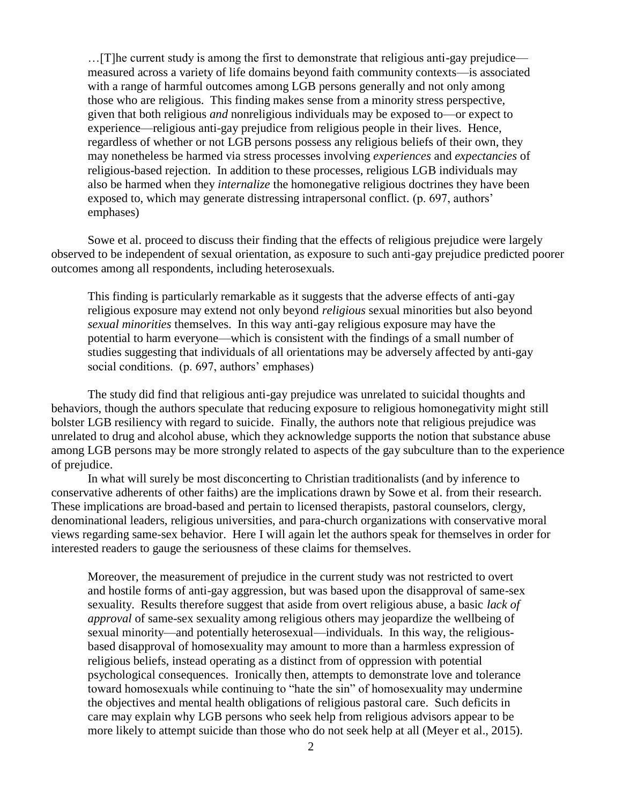…[T]he current study is among the first to demonstrate that religious anti-gay prejudice measured across a variety of life domains beyond faith community contexts—is associated with a range of harmful outcomes among LGB persons generally and not only among those who are religious. This finding makes sense from a minority stress perspective, given that both religious *and* nonreligious individuals may be exposed to—or expect to experience—religious anti-gay prejudice from religious people in their lives. Hence, regardless of whether or not LGB persons possess any religious beliefs of their own, they may nonetheless be harmed via stress processes involving *experiences* and *expectancies* of religious-based rejection. In addition to these processes, religious LGB individuals may also be harmed when they *internalize* the homonegative religious doctrines they have been exposed to, which may generate distressing intrapersonal conflict. (p. 697, authors' emphases)

Sowe et al. proceed to discuss their finding that the effects of religious prejudice were largely observed to be independent of sexual orientation, as exposure to such anti-gay prejudice predicted poorer outcomes among all respondents, including heterosexuals.

This finding is particularly remarkable as it suggests that the adverse effects of anti-gay religious exposure may extend not only beyond *religious* sexual minorities but also beyond *sexual minorities* themselves. In this way anti-gay religious exposure may have the potential to harm everyone—which is consistent with the findings of a small number of studies suggesting that individuals of all orientations may be adversely affected by anti-gay social conditions. (p. 697, authors' emphases)

The study did find that religious anti-gay prejudice was unrelated to suicidal thoughts and behaviors, though the authors speculate that reducing exposure to religious homonegativity might still bolster LGB resiliency with regard to suicide. Finally, the authors note that religious prejudice was unrelated to drug and alcohol abuse, which they acknowledge supports the notion that substance abuse among LGB persons may be more strongly related to aspects of the gay subculture than to the experience of prejudice.

In what will surely be most disconcerting to Christian traditionalists (and by inference to conservative adherents of other faiths) are the implications drawn by Sowe et al. from their research. These implications are broad-based and pertain to licensed therapists, pastoral counselors, clergy, denominational leaders, religious universities, and para-church organizations with conservative moral views regarding same-sex behavior. Here I will again let the authors speak for themselves in order for interested readers to gauge the seriousness of these claims for themselves.

Moreover, the measurement of prejudice in the current study was not restricted to overt and hostile forms of anti-gay aggression, but was based upon the disapproval of same-sex sexuality. Results therefore suggest that aside from overt religious abuse, a basic *lack of approval* of same-sex sexuality among religious others may jeopardize the wellbeing of sexual minority—and potentially heterosexual—individuals. In this way, the religiousbased disapproval of homosexuality may amount to more than a harmless expression of religious beliefs, instead operating as a distinct from of oppression with potential psychological consequences. Ironically then, attempts to demonstrate love and tolerance toward homosexuals while continuing to "hate the sin" of homosexuality may undermine the objectives and mental health obligations of religious pastoral care. Such deficits in care may explain why LGB persons who seek help from religious advisors appear to be more likely to attempt suicide than those who do not seek help at all (Meyer et al., 2015).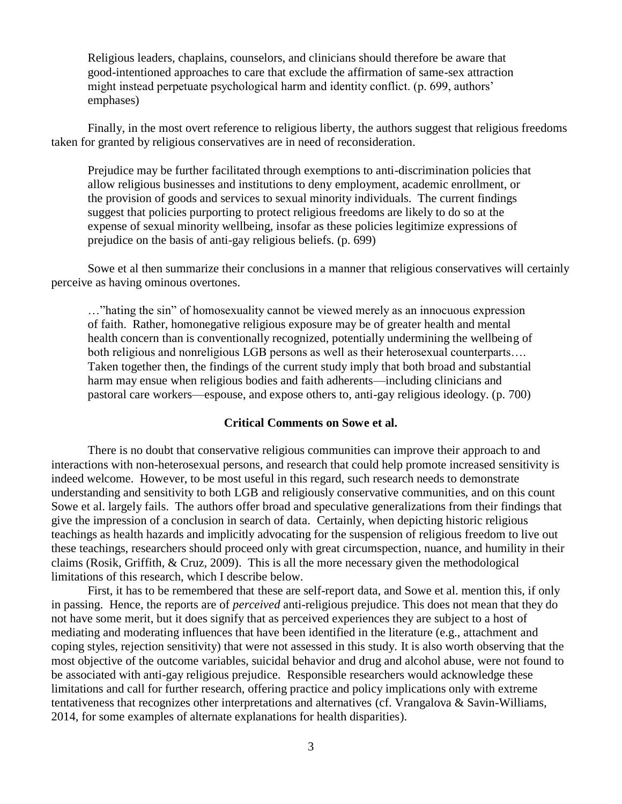Religious leaders, chaplains, counselors, and clinicians should therefore be aware that good-intentioned approaches to care that exclude the affirmation of same-sex attraction might instead perpetuate psychological harm and identity conflict. (p. 699, authors' emphases)

Finally, in the most overt reference to religious liberty, the authors suggest that religious freedoms taken for granted by religious conservatives are in need of reconsideration.

Prejudice may be further facilitated through exemptions to anti-discrimination policies that allow religious businesses and institutions to deny employment, academic enrollment, or the provision of goods and services to sexual minority individuals. The current findings suggest that policies purporting to protect religious freedoms are likely to do so at the expense of sexual minority wellbeing, insofar as these policies legitimize expressions of prejudice on the basis of anti-gay religious beliefs. (p. 699)

Sowe et al then summarize their conclusions in a manner that religious conservatives will certainly perceive as having ominous overtones.

…"hating the sin" of homosexuality cannot be viewed merely as an innocuous expression of faith. Rather, homonegative religious exposure may be of greater health and mental health concern than is conventionally recognized, potentially undermining the wellbeing of both religious and nonreligious LGB persons as well as their heterosexual counterparts…. Taken together then, the findings of the current study imply that both broad and substantial harm may ensue when religious bodies and faith adherents—including clinicians and pastoral care workers—espouse, and expose others to, anti-gay religious ideology. (p. 700)

## **Critical Comments on Sowe et al.**

There is no doubt that conservative religious communities can improve their approach to and interactions with non-heterosexual persons, and research that could help promote increased sensitivity is indeed welcome. However, to be most useful in this regard, such research needs to demonstrate understanding and sensitivity to both LGB and religiously conservative communities, and on this count Sowe et al. largely fails. The authors offer broad and speculative generalizations from their findings that give the impression of a conclusion in search of data. Certainly, when depicting historic religious teachings as health hazards and implicitly advocating for the suspension of religious freedom to live out these teachings, researchers should proceed only with great circumspection, nuance, and humility in their claims (Rosik, Griffith, & Cruz, 2009). This is all the more necessary given the methodological limitations of this research, which I describe below.

First, it has to be remembered that these are self-report data, and Sowe et al. mention this, if only in passing. Hence, the reports are of *perceived* anti-religious prejudice. This does not mean that they do not have some merit, but it does signify that as perceived experiences they are subject to a host of mediating and moderating influences that have been identified in the literature (e.g., attachment and coping styles, rejection sensitivity) that were not assessed in this study. It is also worth observing that the most objective of the outcome variables, suicidal behavior and drug and alcohol abuse, were not found to be associated with anti-gay religious prejudice. Responsible researchers would acknowledge these limitations and call for further research, offering practice and policy implications only with extreme tentativeness that recognizes other interpretations and alternatives (cf. Vrangalova & Savin-Williams, 2014, for some examples of alternate explanations for health disparities).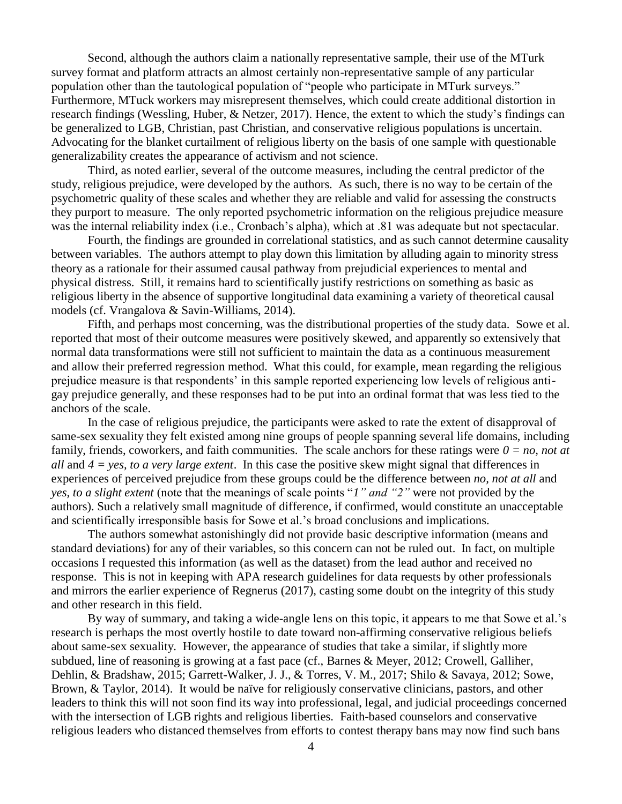Second, although the authors claim a nationally representative sample, their use of the MTurk survey format and platform attracts an almost certainly non-representative sample of any particular population other than the tautological population of "people who participate in MTurk surveys." Furthermore, MTuck workers may misrepresent themselves, which could create additional distortion in research findings (Wessling, Huber, & Netzer, 2017). Hence, the extent to which the study's findings can be generalized to LGB, Christian, past Christian, and conservative religious populations is uncertain. Advocating for the blanket curtailment of religious liberty on the basis of one sample with questionable generalizability creates the appearance of activism and not science.

Third, as noted earlier, several of the outcome measures, including the central predictor of the study, religious prejudice, were developed by the authors. As such, there is no way to be certain of the psychometric quality of these scales and whether they are reliable and valid for assessing the constructs they purport to measure. The only reported psychometric information on the religious prejudice measure was the internal reliability index (i.e., Cronbach's alpha), which at .81 was adequate but not spectacular.

Fourth, the findings are grounded in correlational statistics, and as such cannot determine causality between variables. The authors attempt to play down this limitation by alluding again to minority stress theory as a rationale for their assumed causal pathway from prejudicial experiences to mental and physical distress. Still, it remains hard to scientifically justify restrictions on something as basic as religious liberty in the absence of supportive longitudinal data examining a variety of theoretical causal models (cf. Vrangalova & Savin-Williams, 2014).

Fifth, and perhaps most concerning, was the distributional properties of the study data. Sowe et al. reported that most of their outcome measures were positively skewed, and apparently so extensively that normal data transformations were still not sufficient to maintain the data as a continuous measurement and allow their preferred regression method. What this could, for example, mean regarding the religious prejudice measure is that respondents' in this sample reported experiencing low levels of religious antigay prejudice generally, and these responses had to be put into an ordinal format that was less tied to the anchors of the scale.

In the case of religious prejudice, the participants were asked to rate the extent of disapproval of same-sex sexuality they felt existed among nine groups of people spanning several life domains, including family, friends, coworkers, and faith communities. The scale anchors for these ratings were *0 = no, not at all* and *4 = yes, to a very large extent*. In this case the positive skew might signal that differences in experiences of perceived prejudice from these groups could be the difference between *no, not at all* and *yes, to a slight extent* (note that the meanings of scale points "*1" and "2"* were not provided by the authors). Such a relatively small magnitude of difference, if confirmed, would constitute an unacceptable and scientifically irresponsible basis for Sowe et al.'s broad conclusions and implications.

The authors somewhat astonishingly did not provide basic descriptive information (means and standard deviations) for any of their variables, so this concern can not be ruled out. In fact, on multiple occasions I requested this information (as well as the dataset) from the lead author and received no response. This is not in keeping with APA research guidelines for data requests by other professionals and mirrors the earlier experience of Regnerus (2017), casting some doubt on the integrity of this study and other research in this field.

By way of summary, and taking a wide-angle lens on this topic, it appears to me that Sowe et al.'s research is perhaps the most overtly hostile to date toward non-affirming conservative religious beliefs about same-sex sexuality. However, the appearance of studies that take a similar, if slightly more subdued, line of reasoning is growing at a fast pace (cf., Barnes & Meyer, 2012; Crowell, Galliher, Dehlin, & Bradshaw, 2015; Garrett-Walker, J. J., & Torres, V. M., 2017; Shilo & Savaya, 2012; Sowe, Brown, & Taylor, 2014). It would be naïve for religiously conservative clinicians, pastors, and other leaders to think this will not soon find its way into professional, legal, and judicial proceedings concerned with the intersection of LGB rights and religious liberties. Faith-based counselors and conservative religious leaders who distanced themselves from efforts to contest therapy bans may now find such bans